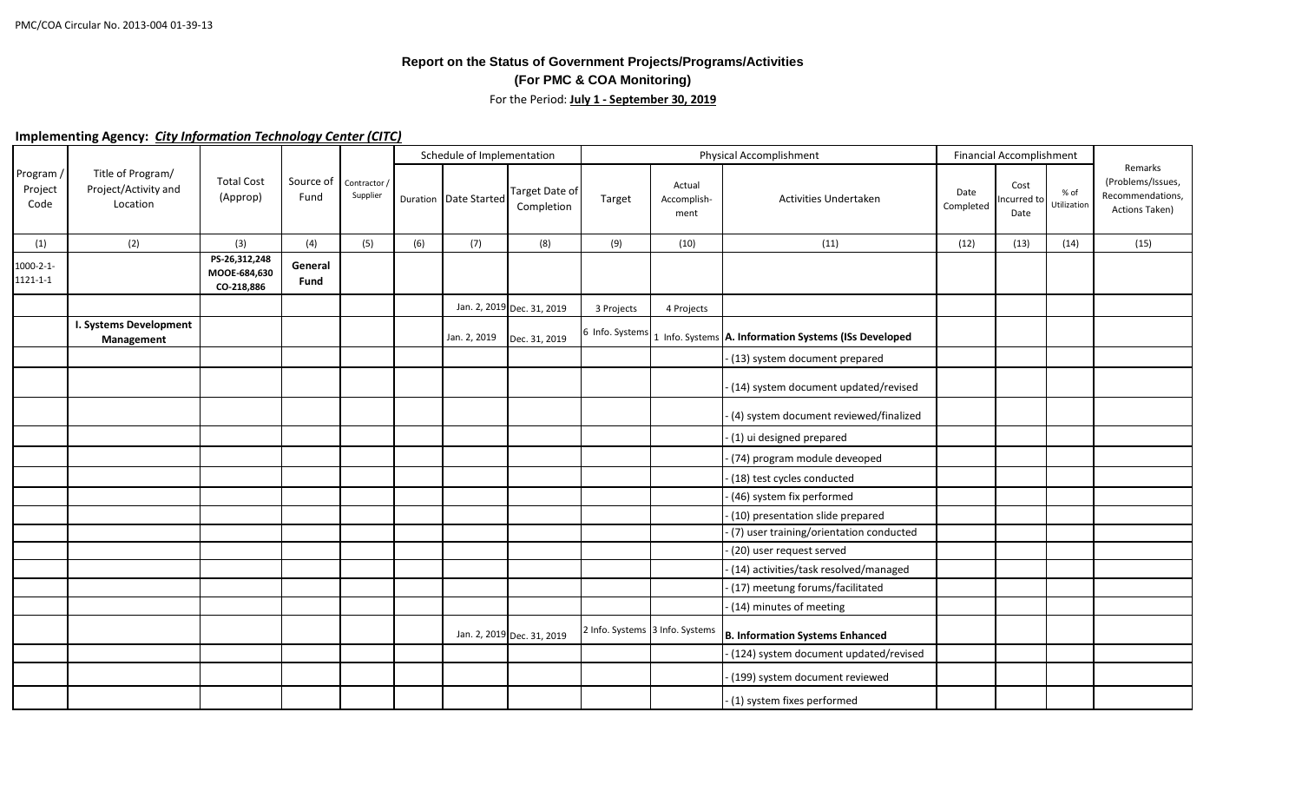## **Report on the Status of Government Projects/Programs/Activities (For PMC & COA Monitoring)** For the Period: **July 1 - September 30, 2019**

## **Implementing Agency:** *City Information Technology Center (CITC)*

|                                    |                                                       |                                             |                   |                          |     | Schedule of Implementation |                               |                 |                                 | <b>Physical Accomplishment</b>                        |                   | <b>Financial Accomplishment</b> |                     |                                                                    |
|------------------------------------|-------------------------------------------------------|---------------------------------------------|-------------------|--------------------------|-----|----------------------------|-------------------------------|-----------------|---------------------------------|-------------------------------------------------------|-------------------|---------------------------------|---------------------|--------------------------------------------------------------------|
| Program /<br>Project<br>Code       | Title of Program/<br>Project/Activity and<br>Location | <b>Total Cost</b><br>(Approp)               | Source of<br>Fund | Contractor /<br>Supplier |     | Duration Date Started      | Target Date of<br>Completion  | Target          | Actual<br>Accomplish-<br>ment   | <b>Activities Undertaken</b>                          | Date<br>Completed | Cost<br>Incurred to<br>Date     | % of<br>Utilization | Remarks<br>(Problems/Issues,<br>Recommendations,<br>Actions Taken) |
| (1)                                | (2)                                                   | (3)                                         | (4)               | (5)                      | (6) | (7)                        | (8)                           | (9)             | (10)                            | (11)                                                  | (12)              | (13)                            | (14)                | (15)                                                               |
| $1000 - 2 - 1 -$<br>$1121 - 1 - 1$ |                                                       | PS-26,312,248<br>MOOE-684,630<br>CO-218,886 | General<br>Fund   |                          |     |                            |                               |                 |                                 |                                                       |                   |                                 |                     |                                                                    |
|                                    |                                                       |                                             |                   |                          |     |                            | Jan. 2, 2019 Dec. 31, 2019    | 3 Projects      | 4 Projects                      |                                                       |                   |                                 |                     |                                                                    |
|                                    | I. Systems Development<br>Management                  |                                             |                   |                          |     |                            | Jan. 2, 2019    Dec. 31, 2019 | 6 Info. Systems |                                 | 1 Info. Systems A. Information Systems (ISs Developed |                   |                                 |                     |                                                                    |
|                                    |                                                       |                                             |                   |                          |     |                            |                               |                 |                                 | - (13) system document prepared                       |                   |                                 |                     |                                                                    |
|                                    |                                                       |                                             |                   |                          |     |                            |                               |                 |                                 | - (14) system document updated/revised                |                   |                                 |                     |                                                                    |
|                                    |                                                       |                                             |                   |                          |     |                            |                               |                 |                                 | - (4) system document reviewed/finalized              |                   |                                 |                     |                                                                    |
|                                    |                                                       |                                             |                   |                          |     |                            |                               |                 |                                 | - (1) ui designed prepared                            |                   |                                 |                     |                                                                    |
|                                    |                                                       |                                             |                   |                          |     |                            |                               |                 |                                 | - (74) program module deveoped                        |                   |                                 |                     |                                                                    |
|                                    |                                                       |                                             |                   |                          |     |                            |                               |                 |                                 | - (18) test cycles conducted                          |                   |                                 |                     |                                                                    |
|                                    |                                                       |                                             |                   |                          |     |                            |                               |                 |                                 | - (46) system fix performed                           |                   |                                 |                     |                                                                    |
|                                    |                                                       |                                             |                   |                          |     |                            |                               |                 |                                 | - (10) presentation slide prepared                    |                   |                                 |                     |                                                                    |
|                                    |                                                       |                                             |                   |                          |     |                            |                               |                 |                                 | - (7) user training/orientation conducted             |                   |                                 |                     |                                                                    |
|                                    |                                                       |                                             |                   |                          |     |                            |                               |                 |                                 | - (20) user request served                            |                   |                                 |                     |                                                                    |
|                                    |                                                       |                                             |                   |                          |     |                            |                               |                 |                                 | - (14) activities/task resolved/managed               |                   |                                 |                     |                                                                    |
|                                    |                                                       |                                             |                   |                          |     |                            |                               |                 |                                 | - (17) meetung forums/facilitated                     |                   |                                 |                     |                                                                    |
|                                    |                                                       |                                             |                   |                          |     |                            |                               |                 |                                 | - (14) minutes of meeting                             |                   |                                 |                     |                                                                    |
|                                    |                                                       |                                             |                   |                          |     |                            | Jan. 2, 2019 Dec. 31, 2019    |                 | 2 Info. Systems 3 Info. Systems | B. Information Systems Enhanced                       |                   |                                 |                     |                                                                    |
|                                    |                                                       |                                             |                   |                          |     |                            |                               |                 |                                 | - (124) system document updated/revised               |                   |                                 |                     |                                                                    |
|                                    |                                                       |                                             |                   |                          |     |                            |                               |                 |                                 | - (199) system document reviewed                      |                   |                                 |                     |                                                                    |
|                                    |                                                       |                                             |                   |                          |     |                            |                               |                 |                                 | - (1) system fixes performed                          |                   |                                 |                     |                                                                    |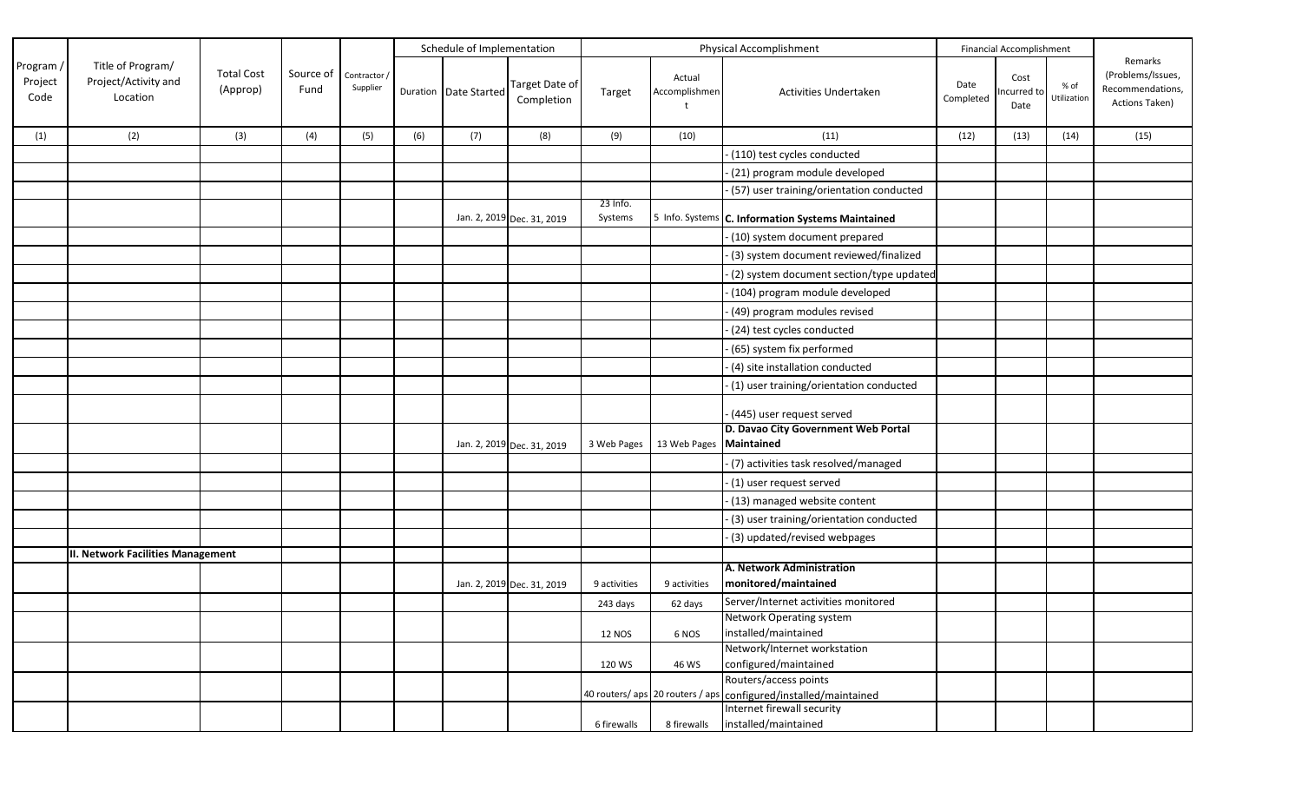|                              |                                                       |                               |                   |                          |     | Schedule of Implementation |                              |                     |                           | <b>Physical Accomplishment</b>                                  |                   | Financial Accomplishment    |                     |                                                                    |
|------------------------------|-------------------------------------------------------|-------------------------------|-------------------|--------------------------|-----|----------------------------|------------------------------|---------------------|---------------------------|-----------------------------------------------------------------|-------------------|-----------------------------|---------------------|--------------------------------------------------------------------|
| Program /<br>Project<br>Code | Title of Program/<br>Project/Activity and<br>Location | <b>Total Cost</b><br>(Approp) | Source of<br>Fund | Contractor /<br>Supplier |     | Duration Date Started      | Target Date of<br>Completion | Target              | Actual<br>Accomplishmen   | <b>Activities Undertaken</b>                                    | Date<br>Completed | Cost<br>Incurred to<br>Date | % of<br>Utilization | Remarks<br>(Problems/Issues,<br>Recommendations,<br>Actions Taken) |
| (1)                          | (2)                                                   | (3)                           | (4)               | (5)                      | (6) | (7)                        | (8)                          | (9)                 | (10)                      | (11)                                                            | (12)              | (13)                        | (14)                | (15)                                                               |
|                              |                                                       |                               |                   |                          |     |                            |                              |                     |                           | (110) test cycles conducted                                     |                   |                             |                     |                                                                    |
|                              |                                                       |                               |                   |                          |     |                            |                              |                     |                           | (21) program module developed                                   |                   |                             |                     |                                                                    |
|                              |                                                       |                               |                   |                          |     |                            |                              |                     |                           | - (57) user training/orientation conducted                      |                   |                             |                     |                                                                    |
|                              |                                                       |                               |                   |                          |     |                            | Jan. 2, 2019 Dec. 31, 2019   | 23 Info.<br>Systems |                           | 5 Info. Systems C. Information Systems Maintained               |                   |                             |                     |                                                                    |
|                              |                                                       |                               |                   |                          |     |                            |                              |                     |                           | - (10) system document prepared                                 |                   |                             |                     |                                                                    |
|                              |                                                       |                               |                   |                          |     |                            |                              |                     |                           | (3) system document reviewed/finalized                          |                   |                             |                     |                                                                    |
|                              |                                                       |                               |                   |                          |     |                            |                              |                     |                           | (2) system document section/type updated                        |                   |                             |                     |                                                                    |
|                              |                                                       |                               |                   |                          |     |                            |                              |                     |                           | - (104) program module developed                                |                   |                             |                     |                                                                    |
|                              |                                                       |                               |                   |                          |     |                            |                              |                     |                           | (49) program modules revised                                    |                   |                             |                     |                                                                    |
|                              |                                                       |                               |                   |                          |     |                            |                              |                     |                           | (24) test cycles conducted                                      |                   |                             |                     |                                                                    |
|                              |                                                       |                               |                   |                          |     |                            |                              |                     |                           | (65) system fix performed                                       |                   |                             |                     |                                                                    |
|                              |                                                       |                               |                   |                          |     |                            |                              |                     |                           | (4) site installation conducted                                 |                   |                             |                     |                                                                    |
|                              |                                                       |                               |                   |                          |     |                            |                              |                     |                           | -(1) user training/orientation conducted                        |                   |                             |                     |                                                                    |
|                              |                                                       |                               |                   |                          |     |                            |                              |                     |                           | - (445) user request served                                     |                   |                             |                     |                                                                    |
|                              |                                                       |                               |                   |                          |     |                            | Jan. 2, 2019 Dec. 31, 2019   | 3 Web Pages         | 13 Web Pages   Maintained | D. Davao City Government Web Portal                             |                   |                             |                     |                                                                    |
|                              |                                                       |                               |                   |                          |     |                            |                              |                     |                           | - (7) activities task resolved/managed                          |                   |                             |                     |                                                                    |
|                              |                                                       |                               |                   |                          |     |                            |                              |                     |                           | - (1) user request served                                       |                   |                             |                     |                                                                    |
|                              |                                                       |                               |                   |                          |     |                            |                              |                     |                           | - (13) managed website content                                  |                   |                             |                     |                                                                    |
|                              |                                                       |                               |                   |                          |     |                            |                              |                     |                           | (3) user training/orientation conducted                         |                   |                             |                     |                                                                    |
|                              |                                                       |                               |                   |                          |     |                            |                              |                     |                           | (3) updated/revised webpages                                    |                   |                             |                     |                                                                    |
|                              | <b>II. Network Facilities Management</b>              |                               |                   |                          |     |                            |                              |                     |                           |                                                                 |                   |                             |                     |                                                                    |
|                              |                                                       |                               |                   |                          |     |                            | Jan. 2, 2019 Dec. 31, 2019   | 9 activities        | 9 activities              | A. Network Administration<br>monitored/maintained               |                   |                             |                     |                                                                    |
|                              |                                                       |                               |                   |                          |     |                            |                              | 243 days            | 62 days                   | Server/Internet activities monitored                            |                   |                             |                     |                                                                    |
|                              |                                                       |                               |                   |                          |     |                            |                              |                     |                           | Network Operating system                                        |                   |                             |                     |                                                                    |
|                              |                                                       |                               |                   |                          |     |                            |                              | <b>12 NOS</b>       | 6 NOS                     | installed/maintained                                            |                   |                             |                     |                                                                    |
|                              |                                                       |                               |                   |                          |     |                            |                              | 120 WS              | 46 WS                     | Network/Internet workstation<br>configured/maintained           |                   |                             |                     |                                                                    |
|                              |                                                       |                               |                   |                          |     |                            |                              |                     |                           | Routers/access points                                           |                   |                             |                     |                                                                    |
|                              |                                                       |                               |                   |                          |     |                            |                              |                     |                           | 40 routers/aps 20 routers / aps configured/installed/maintained |                   |                             |                     |                                                                    |
|                              |                                                       |                               |                   |                          |     |                            |                              |                     |                           | Internet firewall security                                      |                   |                             |                     |                                                                    |
|                              |                                                       |                               |                   |                          |     |                            |                              | 6 firewalls         | 8 firewalls               | installed/maintained                                            |                   |                             |                     |                                                                    |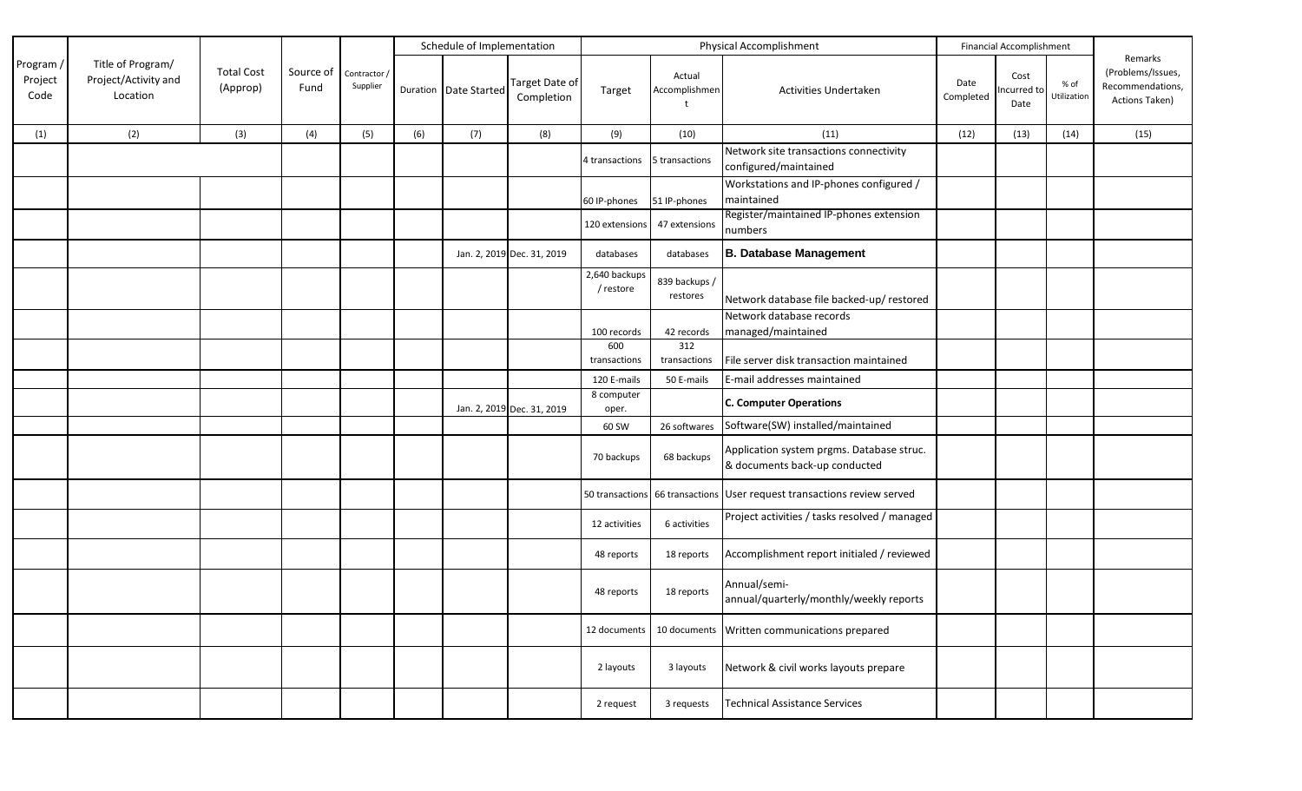|                              |                                                       |                               |                   |                          |     | Schedule of Implementation |                              |                            |                           | Physical Accomplishment                                                    |                   | Financial Accomplishment    |                     |                                                                    |
|------------------------------|-------------------------------------------------------|-------------------------------|-------------------|--------------------------|-----|----------------------------|------------------------------|----------------------------|---------------------------|----------------------------------------------------------------------------|-------------------|-----------------------------|---------------------|--------------------------------------------------------------------|
| Program /<br>Project<br>Code | Title of Program/<br>Project/Activity and<br>Location | <b>Total Cost</b><br>(Approp) | Source of<br>Fund | Contractor /<br>Supplier |     | Duration Date Started      | Target Date of<br>Completion | Target                     | Actual<br>Accomplishmen   | Activities Undertaken                                                      | Date<br>Completed | Cost<br>Incurred to<br>Date | % of<br>Utilization | Remarks<br>(Problems/Issues,<br>Recommendations,<br>Actions Taken) |
| (1)                          | (2)                                                   | (3)                           | (4)               | (5)                      | (6) | (7)                        | (8)                          | (9)                        | (10)                      | (11)                                                                       | (12)              | (13)                        | (14)                | (15)                                                               |
|                              |                                                       |                               |                   |                          |     |                            |                              | 4 transactions             | 5 transactions            | Network site transactions connectivity<br>configured/maintained            |                   |                             |                     |                                                                    |
|                              |                                                       |                               |                   |                          |     |                            |                              | 60 IP-phones               | 51 IP-phones              | Workstations and IP-phones configured /<br>maintained                      |                   |                             |                     |                                                                    |
|                              |                                                       |                               |                   |                          |     |                            |                              | 120 extensions             | 47 extensions             | Register/maintained IP-phones extension<br>numbers                         |                   |                             |                     |                                                                    |
|                              |                                                       |                               |                   |                          |     |                            | Jan. 2, 2019 Dec. 31, 2019   | databases                  | databases                 | <b>B. Database Management</b>                                              |                   |                             |                     |                                                                    |
|                              |                                                       |                               |                   |                          |     |                            |                              | 2,640 backups<br>/ restore | 839 backups /<br>restores | Network database file backed-up/ restored                                  |                   |                             |                     |                                                                    |
|                              |                                                       |                               |                   |                          |     |                            |                              | 100 records                | 42 records                | Network database records<br>managed/maintained                             |                   |                             |                     |                                                                    |
|                              |                                                       |                               |                   |                          |     |                            |                              | 600<br>transactions        | 312<br>transactions       | File server disk transaction maintained                                    |                   |                             |                     |                                                                    |
|                              |                                                       |                               |                   |                          |     |                            |                              | 120 E-mails                | 50 E-mails                | E-mail addresses maintained                                                |                   |                             |                     |                                                                    |
|                              |                                                       |                               |                   |                          |     |                            | Jan. 2, 2019 Dec. 31, 2019   | 8 computer<br>oper.        |                           | <b>C. Computer Operations</b>                                              |                   |                             |                     |                                                                    |
|                              |                                                       |                               |                   |                          |     |                            |                              | 60 SW                      | 26 softwares              | Software(SW) installed/maintained                                          |                   |                             |                     |                                                                    |
|                              |                                                       |                               |                   |                          |     |                            |                              | 70 backups                 | 68 backups                | Application system prgms. Database struc.<br>& documents back-up conducted |                   |                             |                     |                                                                    |
|                              |                                                       |                               |                   |                          |     |                            |                              | 50 transactions            |                           | 66 transactions User request transactions review served                    |                   |                             |                     |                                                                    |
|                              |                                                       |                               |                   |                          |     |                            |                              | 12 activities              | 6 activities              | Project activities / tasks resolved / managed                              |                   |                             |                     |                                                                    |
|                              |                                                       |                               |                   |                          |     |                            |                              | 48 reports                 | 18 reports                | Accomplishment report initialed / reviewed                                 |                   |                             |                     |                                                                    |
|                              |                                                       |                               |                   |                          |     |                            |                              | 48 reports                 | 18 reports                | Annual/semi-<br>annual/quarterly/monthly/weekly reports                    |                   |                             |                     |                                                                    |
|                              |                                                       |                               |                   |                          |     |                            |                              |                            |                           | 12 documents 10 documents Written communications prepared                  |                   |                             |                     |                                                                    |
|                              |                                                       |                               |                   |                          |     |                            |                              | 2 layouts                  | 3 layouts                 | Network & civil works layouts prepare                                      |                   |                             |                     |                                                                    |
|                              |                                                       |                               |                   |                          |     |                            |                              | 2 request                  | 3 requests                | <b>Technical Assistance Services</b>                                       |                   |                             |                     |                                                                    |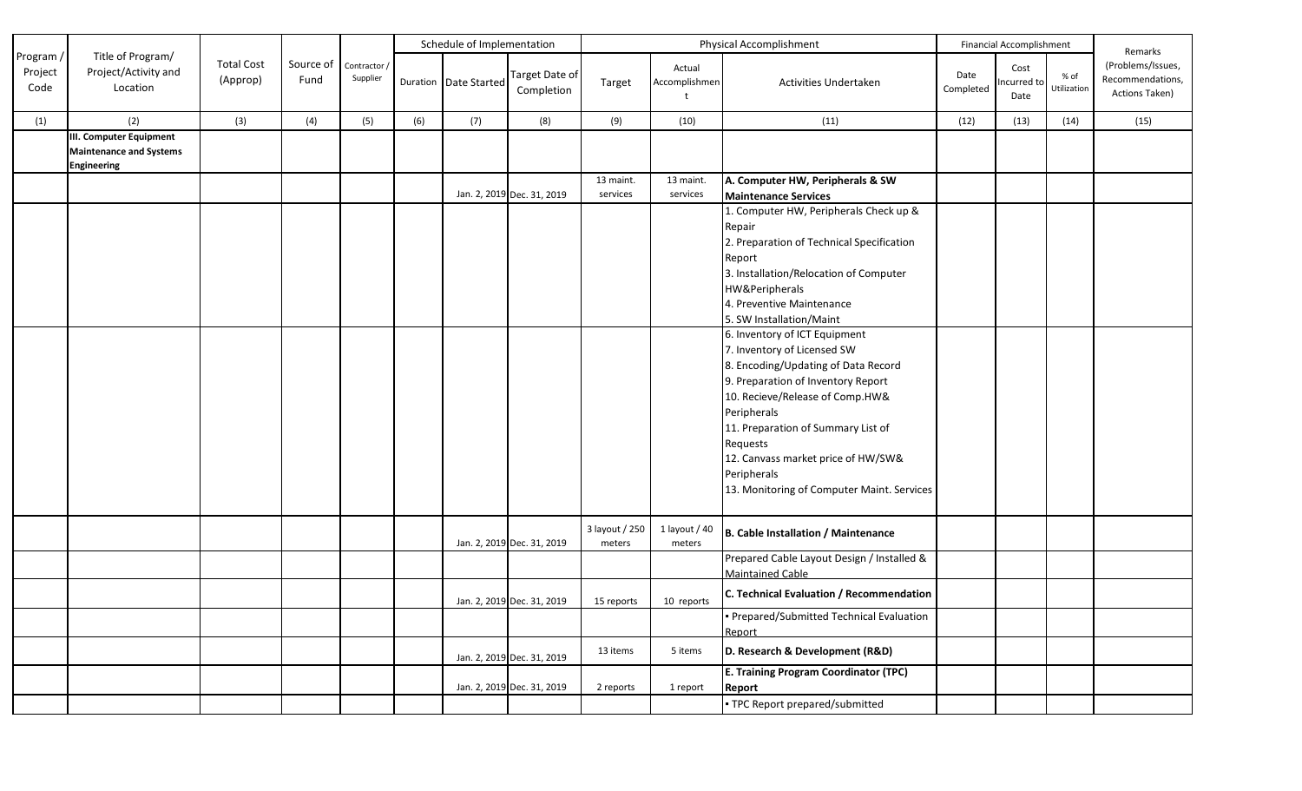|                              |                                                                                        |                               |                   |                          |     | Schedule of Implementation |                              |                |                                         | Financial Accomplishment                                                                                                                                                                                                                                                                                                                                                                                                                                                                                                                                                         | Remarks           |                             |                     |                                                         |
|------------------------------|----------------------------------------------------------------------------------------|-------------------------------|-------------------|--------------------------|-----|----------------------------|------------------------------|----------------|-----------------------------------------|----------------------------------------------------------------------------------------------------------------------------------------------------------------------------------------------------------------------------------------------------------------------------------------------------------------------------------------------------------------------------------------------------------------------------------------------------------------------------------------------------------------------------------------------------------------------------------|-------------------|-----------------------------|---------------------|---------------------------------------------------------|
| Program /<br>Project<br>Code | Title of Program/<br>Project/Activity and<br>Location                                  | <b>Total Cost</b><br>(Approp) | Source of<br>Fund | Contractor /<br>Supplier |     | Duration Date Started      | Target Date of<br>Completion | Target         | Actual<br>Accomplishmen<br>$\mathbf{t}$ | Activities Undertaken                                                                                                                                                                                                                                                                                                                                                                                                                                                                                                                                                            | Date<br>Completed | Cost<br>Incurred to<br>Date | % of<br>Utilization | (Problems/Issues,<br>Recommendations,<br>Actions Taken) |
| (1)                          | (2)                                                                                    | (3)                           | (4)               | (5)                      | (6) | (7)                        | (8)                          | (9)            | (10)                                    | (11)                                                                                                                                                                                                                                                                                                                                                                                                                                                                                                                                                                             | (12)              | (13)                        | (14)                | (15)                                                    |
|                              | <b>III. Computer Equipment</b><br><b>Maintenance and Systems</b><br><b>Engineering</b> |                               |                   |                          |     |                            |                              |                |                                         |                                                                                                                                                                                                                                                                                                                                                                                                                                                                                                                                                                                  |                   |                             |                     |                                                         |
|                              |                                                                                        |                               |                   |                          |     |                            |                              | 13 maint.      | 13 maint.                               | A. Computer HW, Peripherals & SW                                                                                                                                                                                                                                                                                                                                                                                                                                                                                                                                                 |                   |                             |                     |                                                         |
|                              |                                                                                        |                               |                   |                          |     |                            | Jan. 2, 2019 Dec. 31, 2019   | services       | services                                | <b>Maintenance Services</b>                                                                                                                                                                                                                                                                                                                                                                                                                                                                                                                                                      |                   |                             |                     |                                                         |
|                              |                                                                                        |                               |                   |                          |     |                            |                              |                |                                         | 1. Computer HW, Peripherals Check up &<br>Repair<br>2. Preparation of Technical Specification<br>Report<br>3. Installation/Relocation of Computer<br>HW&Peripherals<br>4. Preventive Maintenance<br>5. SW Installation/Maint<br>6. Inventory of ICT Equipment<br>7. Inventory of Licensed SW<br>8. Encoding/Updating of Data Record<br>9. Preparation of Inventory Report<br>10. Recieve/Release of Comp.HW&<br>Peripherals<br>11. Preparation of Summary List of<br>Requests<br>12. Canvass market price of HW/SW&<br>Peripherals<br>13. Monitoring of Computer Maint. Services |                   |                             |                     |                                                         |
|                              |                                                                                        |                               |                   |                          |     |                            |                              | 3 layout / 250 | 1 layout / 40                           | <b>B. Cable Installation / Maintenance</b>                                                                                                                                                                                                                                                                                                                                                                                                                                                                                                                                       |                   |                             |                     |                                                         |
|                              |                                                                                        |                               |                   |                          |     |                            | Jan. 2, 2019 Dec. 31, 2019   | meters         | meters                                  | Prepared Cable Layout Design / Installed &<br><b>Maintained Cable</b>                                                                                                                                                                                                                                                                                                                                                                                                                                                                                                            |                   |                             |                     |                                                         |
|                              |                                                                                        |                               |                   |                          |     |                            | Jan. 2, 2019 Dec. 31, 2019   | 15 reports     | 10 reports                              | C. Technical Evaluation / Recommendation                                                                                                                                                                                                                                                                                                                                                                                                                                                                                                                                         |                   |                             |                     |                                                         |
|                              |                                                                                        |                               |                   |                          |     |                            |                              |                |                                         | Prepared/Submitted Technical Evaluation<br>Report                                                                                                                                                                                                                                                                                                                                                                                                                                                                                                                                |                   |                             |                     |                                                         |
|                              |                                                                                        |                               |                   |                          |     |                            | Jan. 2, 2019 Dec. 31, 2019   | 13 items       | 5 items                                 | D. Research & Development (R&D)                                                                                                                                                                                                                                                                                                                                                                                                                                                                                                                                                  |                   |                             |                     |                                                         |
|                              |                                                                                        |                               |                   |                          |     |                            | Jan. 2, 2019 Dec. 31, 2019   | 2 reports      | 1 report                                | <b>E. Training Program Coordinator (TPC)</b><br>Report                                                                                                                                                                                                                                                                                                                                                                                                                                                                                                                           |                   |                             |                     |                                                         |
|                              |                                                                                        |                               |                   |                          |     |                            |                              |                |                                         | • TPC Report prepared/submitted                                                                                                                                                                                                                                                                                                                                                                                                                                                                                                                                                  |                   |                             |                     |                                                         |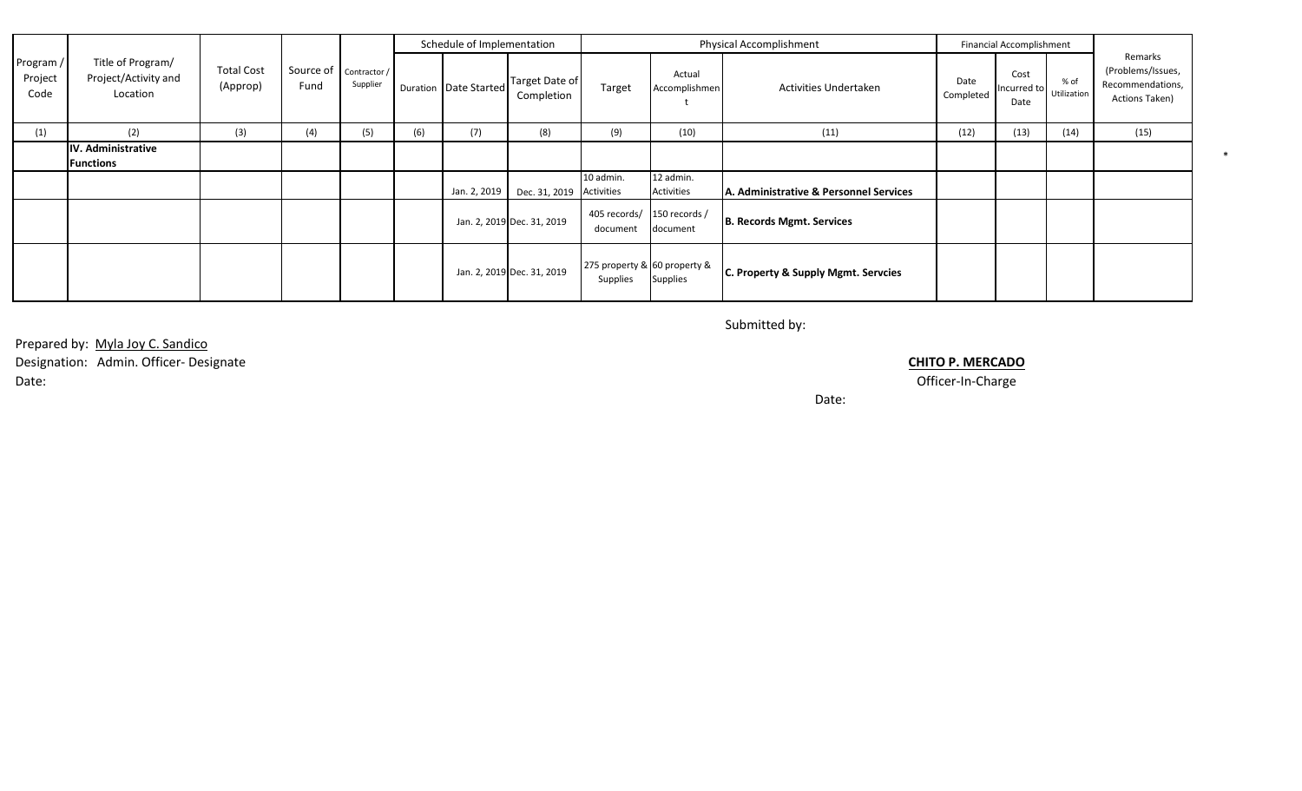|                              |                                                       |                               |                                  |          |     | Schedule of Implementation |                              |                                          | <b>Physical Accomplishment</b> |                                        |                   |                                                                        | <b>Financial Accomplishment</b> |                                                                    |  |
|------------------------------|-------------------------------------------------------|-------------------------------|----------------------------------|----------|-----|----------------------------|------------------------------|------------------------------------------|--------------------------------|----------------------------------------|-------------------|------------------------------------------------------------------------|---------------------------------|--------------------------------------------------------------------|--|
| Program /<br>Project<br>Code | Title of Program/<br>Project/Activity and<br>Location | <b>Total Cost</b><br>(Approp) | Source of   Contractor /<br>Fund | Supplier |     | Duration   Date Started    | Target Date of<br>Completion | Target                                   | Actual<br>Accomplishmen        | Activities Undertaken                  | Date<br>Completed | Cost<br>% of<br>. [Incurred to $\bigcup$ Utilization $\bigcup$<br>Date |                                 | Remarks<br>(Problems/Issues,<br>Recommendations,<br>Actions Taken) |  |
| (1)                          | (2)                                                   | (3)                           | (4)                              | (5)      | (6) | (7)                        | (8)                          | (9)                                      | (10)                           | (11)                                   | (12)              | (13)                                                                   | (14)                            | (15)                                                               |  |
|                              | IV. Administrative<br><b>Functions</b>                |                               |                                  |          |     |                            |                              |                                          |                                |                                        |                   |                                                                        |                                 |                                                                    |  |
|                              |                                                       |                               |                                  |          |     | Jan. 2, 2019               | Dec. 31, 2019 Activities     | 10 admin.                                | 12 admin.<br>Activities        | A. Administrative & Personnel Services |                   |                                                                        |                                 |                                                                    |  |
|                              |                                                       |                               |                                  |          |     |                            | Jan. 2, 2019 Dec. 31, 2019   | 405 records/ 150 records /<br>document   | document                       | <b>B. Records Mgmt. Services</b>       |                   |                                                                        |                                 |                                                                    |  |
|                              |                                                       |                               |                                  |          |     |                            | Jan. 2, 2019 Dec. 31, 2019   | 275 property & 60 property &<br>Supplies | Supplies                       | C. Property & Supply Mgmt. Servcies    |                   |                                                                        |                                 |                                                                    |  |

Submitted by:

Prepared by: Myla Joy C. Sandico

Designation: Admin. Officer- Designate **CHITO P. MERCADO** Date: Officer-In-Charge

Date: